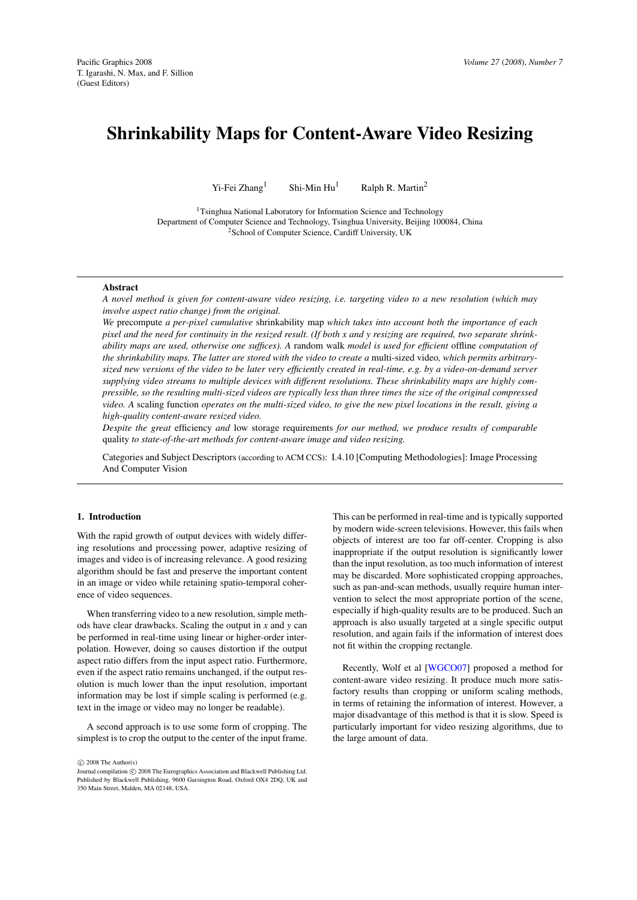# Shrinkability Maps for Content-Aware Video Resizing

Yi-Fei Zhang<sup>1</sup> Shi-Min Hu<sup>1</sup> Ralph R. Martin<sup>2</sup>

<sup>1</sup>Tsinghua National Laboratory for Information Science and Technology Department of Computer Science and Technology, Tsinghua University, Beijing 100084, China <sup>2</sup>School of Computer Science, Cardiff University, UK

## Abstract

*A novel method is given for content-aware video resizing, i.e. targeting video to a new resolution (which may involve aspect ratio change) from the original.*

*We* precompute *a per-pixel cumulative* shrinkability map *which takes into account both the importance of each pixel and the need for continuity in the resized result. (If both x and y resizing are required, two separate shrinkability maps are used, otherwise one suffices). A* random walk *model is used for efficient* offline *computation of the shrinkability maps. The latter are stored with the video to create a* multi-sized video*, which permits arbitrarysized new versions of the video to be later very efficiently created in real-time, e.g. by a video-on-demand server supplying video streams to multiple devices with different resolutions. These shrinkability maps are highly compressible, so the resulting multi-sized videos are typically less than three times the size of the original compressed video. A* scaling function *operates on the multi-sized video, to give the new pixel locations in the result, giving a high-quality content-aware resized video.*

*Despite the great* efficiency *and* low storage requirements *for our method, we produce results of comparable* quality *to state-of-the-art methods for content-aware image and video resizing.*

Categories and Subject Descriptors (according to ACM CCS): I.4.10 [Computing Methodologies]: Image Processing And Computer Vision

# 1. Introduction

With the rapid growth of output devices with widely differing resolutions and processing power, adaptive resizing of images and video is of increasing relevance. A good resizing algorithm should be fast and preserve the important content in an image or video while retaining spatio-temporal coherence of video sequences.

When transferring video to a new resolution, simple methods have clear drawbacks. Scaling the output in *x* and *y* can be performed in real-time using linear or higher-order interpolation. However, doing so causes distortion if the output aspect ratio differs from the input aspect ratio. Furthermore, even if the aspect ratio remains unchanged, if the output resolution is much lower than the input resolution, important information may be lost if simple scaling is performed (e.g. text in the image or video may no longer be readable).

A second approach is to use some form of cropping. The simplest is to crop the output to the center of the input frame.

This can be performed in real-time and is typically supported by modern wide-screen televisions. However, this fails when objects of interest are too far off-center. Cropping is also inappropriate if the output resolution is significantly lower than the input resolution, as too much information of interest may be discarded. More sophisticated cropping approaches, such as pan-and-scan methods, usually require human intervention to select the most appropriate portion of the scene, especially if high-quality results are to be produced. Such an approach is also usually targeted at a single specific output resolution, and again fails if the information of interest does not fit within the cropping rectangle.

Recently, Wolf et al [\[WGCO07\]](#page-7-0) proposed a method for content-aware video resizing. It produce much more satisfactory results than cropping or uniform scaling methods, in terms of retaining the information of interest. However, a major disadvantage of this method is that it is slow. Speed is particularly important for video resizing algorithms, due to the large amount of data.

 $\odot$  2008 The Author(s)

Journal compilation  $\odot$  2008 The Eurographics Association and Blackwell Publishing Ltd. Published by Blackwell Publishing, 9600 Garsington Road, Oxford OX4 2DQ, UK and 350 Main Street, Malden, MA 02148, USA.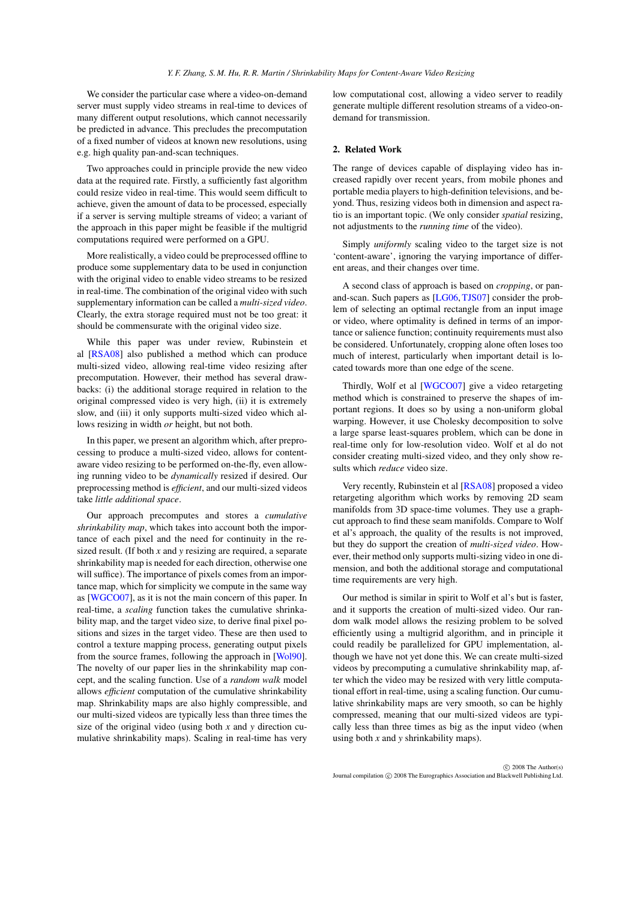We consider the particular case where a video-on-demand server must supply video streams in real-time to devices of many different output resolutions, which cannot necessarily be predicted in advance. This precludes the precomputation of a fixed number of videos at known new resolutions, using e.g. high quality pan-and-scan techniques.

Two approaches could in principle provide the new video data at the required rate. Firstly, a sufficiently fast algorithm could resize video in real-time. This would seem difficult to achieve, given the amount of data to be processed, especially if a server is serving multiple streams of video; a variant of the approach in this paper might be feasible if the multigrid computations required were performed on a GPU.

More realistically, a video could be preprocessed offline to produce some supplementary data to be used in conjunction with the original video to enable video streams to be resized in real-time. The combination of the original video with such supplementary information can be called a *multi-sized video*. Clearly, the extra storage required must not be too great: it should be commensurate with the original video size.

While this paper was under review, Rubinstein et al [\[RSA08\]](#page-7-1) also published a method which can produce multi-sized video, allowing real-time video resizing after precomputation. However, their method has several drawbacks: (i) the additional storage required in relation to the original compressed video is very high, (ii) it is extremely slow, and (iii) it only supports multi-sized video which allows resizing in width *or* height, but not both.

In this paper, we present an algorithm which, after preprocessing to produce a multi-sized video, allows for contentaware video resizing to be performed on-the-fly, even allowing running video to be *dynamically* resized if desired. Our preprocessing method is *efficient*, and our multi-sized videos take *little additional space*.

Our approach precomputes and stores a *cumulative shrinkability map*, which takes into account both the importance of each pixel and the need for continuity in the resized result. (If both *x* and *y* resizing are required, a separate shrinkability map is needed for each direction, otherwise one will suffice). The importance of pixels comes from an importance map, which for simplicity we compute in the same way as [\[WGCO07\]](#page-7-0), as it is not the main concern of this paper. In real-time, a *scaling* function takes the cumulative shrinkability map, and the target video size, to derive final pixel positions and sizes in the target video. These are then used to control a texture mapping process, generating output pixels from the source frames, following the approach in [\[Wol90\]](#page-7-2). The novelty of our paper lies in the shrinkability map concept, and the scaling function. Use of a *random walk* model allows *efficient* computation of the cumulative shrinkability map. Shrinkability maps are also highly compressible, and our multi-sized videos are typically less than three times the size of the original video (using both *x* and *y* direction cumulative shrinkability maps). Scaling in real-time has very low computational cost, allowing a video server to readily generate multiple different resolution streams of a video-ondemand for transmission.

# 2. Related Work

The range of devices capable of displaying video has increased rapidly over recent years, from mobile phones and portable media players to high-definition televisions, and beyond. Thus, resizing videos both in dimension and aspect ratio is an important topic. (We only consider *spatial* resizing, not adjustments to the *running time* of the video).

Simply *uniformly* scaling video to the target size is not 'content-aware', ignoring the varying importance of different areas, and their changes over time.

A second class of approach is based on *cropping*, or panand-scan. Such papers as [\[LG06,](#page-7-3) [TJS07\]](#page-7-4) consider the problem of selecting an optimal rectangle from an input image or video, where optimality is defined in terms of an importance or salience function; continuity requirements must also be considered. Unfortunately, cropping alone often loses too much of interest, particularly when important detail is located towards more than one edge of the scene.

Thirdly, Wolf et al [\[WGCO07\]](#page-7-0) give a video retargeting method which is constrained to preserve the shapes of important regions. It does so by using a non-uniform global warping. However, it use Cholesky decomposition to solve a large sparse least-squares problem, which can be done in real-time only for low-resolution video. Wolf et al do not consider creating multi-sized video, and they only show results which *reduce* video size.

Very recently, Rubinstein et al [\[RSA08\]](#page-7-1) proposed a video retargeting algorithm which works by removing 2D seam manifolds from 3D space-time volumes. They use a graphcut approach to find these seam manifolds. Compare to Wolf et al's approach, the quality of the results is not improved, but they do support the creation of *multi-sized video*. However, their method only supports multi-sizing video in one dimension, and both the additional storage and computational time requirements are very high.

Our method is similar in spirit to Wolf et al's but is faster, and it supports the creation of multi-sized video. Our random walk model allows the resizing problem to be solved efficiently using a multigrid algorithm, and in principle it could readily be parallelized for GPU implementation, although we have not yet done this. We can create multi-sized videos by precomputing a cumulative shrinkability map, after which the video may be resized with very little computational effort in real-time, using a scaling function. Our cumulative shrinkability maps are very smooth, so can be highly compressed, meaning that our multi-sized videos are typically less than three times as big as the input video (when using both *x* and *y* shrinkability maps).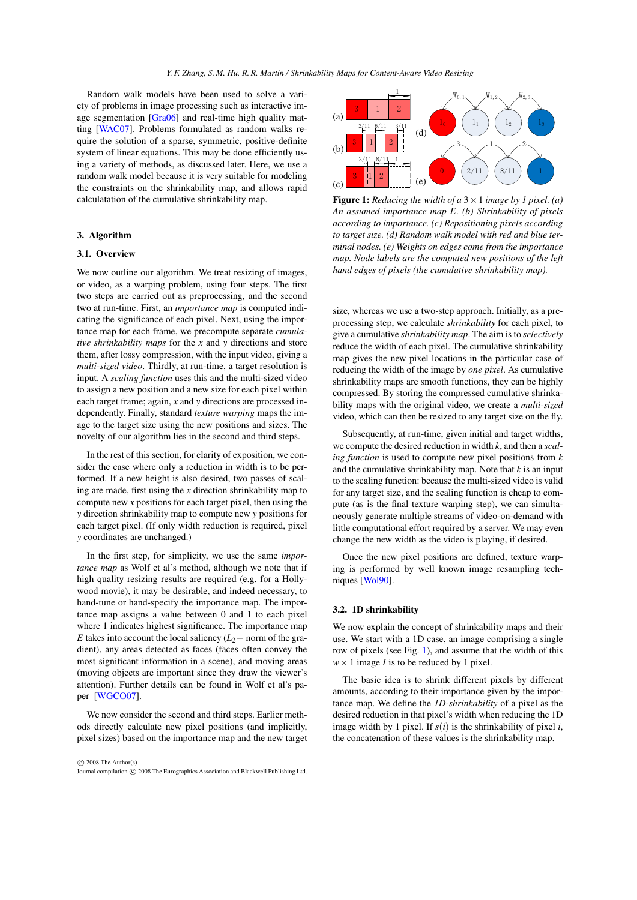Random walk models have been used to solve a variety of problems in image processing such as interactive image segmentation [\[Gra06\]](#page-7-5) and real-time high quality matting [\[WAC07\]](#page-7-6). Problems formulated as random walks require the solution of a sparse, symmetric, positive-definite system of linear equations. This may be done efficiently using a variety of methods, as discussed later. Here, we use a random walk model because it is very suitable for modeling the constraints on the shrinkability map, and allows rapid calculatation of the cumulative shrinkability map.

## 3. Algorithm

## 3.1. Overview

We now outline our algorithm. We treat resizing of images, or video, as a warping problem, using four steps. The first two steps are carried out as preprocessing, and the second two at run-time. First, an *importance map* is computed indicating the significance of each pixel. Next, using the importance map for each frame, we precompute separate *cumulative shrinkability maps* for the *x* and *y* directions and store them, after lossy compression, with the input video, giving a *multi-sized video*. Thirdly, at run-time, a target resolution is input. A *scaling function* uses this and the multi-sized video to assign a new position and a new size for each pixel within each target frame; again, *x* and *y* directions are processed independently. Finally, standard *texture warping* maps the image to the target size using the new positions and sizes. The novelty of our algorithm lies in the second and third steps.

In the rest of this section, for clarity of exposition, we consider the case where only a reduction in width is to be performed. If a new height is also desired, two passes of scaling are made, first using the *x* direction shrinkability map to compute new *x* positions for each target pixel, then using the *y* direction shrinkability map to compute new *y* positions for each target pixel. (If only width reduction is required, pixel *y* coordinates are unchanged.)

In the first step, for simplicity, we use the same *importance map* as Wolf et al's method, although we note that if high quality resizing results are required (e.g. for a Hollywood movie), it may be desirable, and indeed necessary, to hand-tune or hand-specify the importance map. The importance map assigns a value between 0 and 1 to each pixel where 1 indicates highest significance. The importance map *E* takes into account the local saliency  $(L_2-$  norm of the gradient), any areas detected as faces (faces often convey the most significant information in a scene), and moving areas (moving objects are important since they draw the viewer's attention). Further details can be found in Wolf et al's paper [\[WGCO07\]](#page-7-0).

We now consider the second and third steps. Earlier methods directly calculate new pixel positions (and implicitly, pixel sizes) based on the importance map and the new target





<span id="page-2-0"></span>**Figure 1:** *Reducing the width of a*  $3 \times 1$  *image by 1 pixel. (a) An assumed importance map E. (b) Shrinkability of pixels according to importance. (c) Repositioning pixels according to target size. (d) Random walk model with red and blue terminal nodes. (e) Weights on edges come from the importance map. Node labels are the computed new positions of the left hand edges of pixels (the cumulative shrinkability map).*

size, whereas we use a two-step approach. Initially, as a preprocessing step, we calculate *shrinkability* for each pixel, to give a cumulative *shrinkability map*. The aim is to *selectively* reduce the width of each pixel. The cumulative shrinkability map gives the new pixel locations in the particular case of reducing the width of the image by *one pixel*. As cumulative shrinkability maps are smooth functions, they can be highly compressed. By storing the compressed cumulative shrinkability maps with the original video, we create a *multi-sized* video, which can then be resized to any target size on the fly.

Subsequently, at run-time, given initial and target widths, we compute the desired reduction in width *k*, and then a *scaling function* is used to compute new pixel positions from *k* and the cumulative shrinkability map. Note that *k* is an input to the scaling function: because the multi-sized video is valid for any target size, and the scaling function is cheap to compute (as is the final texture warping step), we can simultaneously generate multiple streams of video-on-demand with little computational effort required by a server. We may even change the new width as the video is playing, if desired.

Once the new pixel positions are defined, texture warping is performed by well known image resampling techniques [\[Wol90\]](#page-7-2).

#### 3.2. 1D shrinkability

We now explain the concept of shrinkability maps and their use. We start with a 1D case, an image comprising a single row of pixels (see Fig. [1\)](#page-2-0), and assume that the width of this  $w \times 1$  image *I* is to be reduced by 1 pixel.

The basic idea is to shrink different pixels by different amounts, according to their importance given by the importance map. We define the *1D-shrinkability* of a pixel as the desired reduction in that pixel's width when reducing the 1D image width by 1 pixel. If *s*(*i*) is the shrinkability of pixel *i*, the concatenation of these values is the shrinkability map.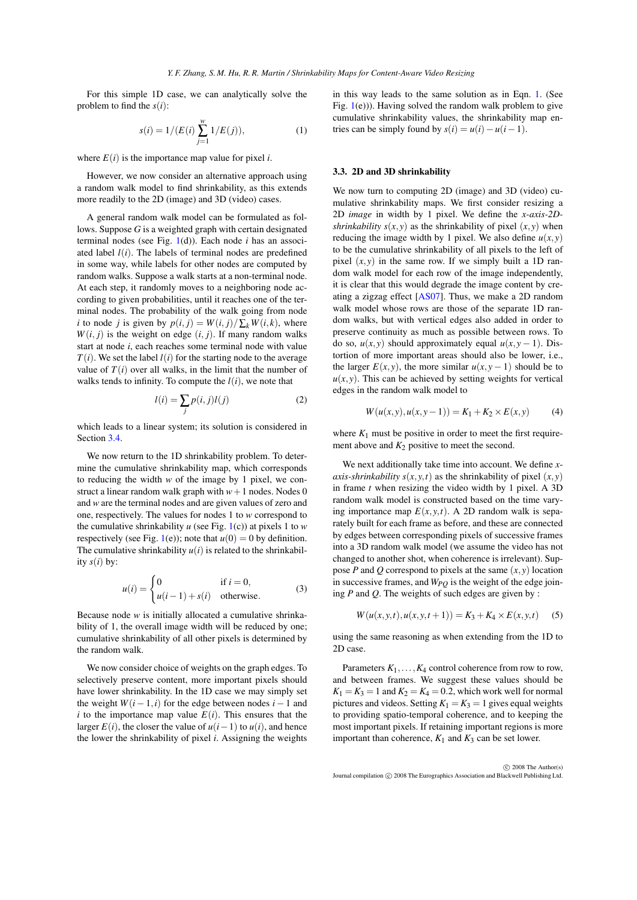For this simple 1D case, we can analytically solve the problem to find the  $s(i)$ :

<span id="page-3-0"></span>
$$
s(i) = 1/(E(i)\sum_{j=1}^{w} 1/E(j)),
$$
 (1)

where  $E(i)$  is the importance map value for pixel *i*.

However, we now consider an alternative approach using a random walk model to find shrinkability, as this extends more readily to the 2D (image) and 3D (video) cases.

A general random walk model can be formulated as follows. Suppose *G* is a weighted graph with certain designated terminal nodes (see Fig. [1\(](#page-2-0)d)). Each node *i* has an associated label  $l(i)$ . The labels of terminal nodes are predefined in some way, while labels for other nodes are computed by random walks. Suppose a walk starts at a non-terminal node. At each step, it randomly moves to a neighboring node according to given probabilities, until it reaches one of the terminal nodes. The probability of the walk going from node *i* to node *j* is given by  $p(i, j) = W(i, j)/\sum_k W(i, k)$ , where  $W(i, j)$  is the weight on edge  $(i, j)$ . If many random walks start at node *i*, each reaches some terminal node with value  $T(i)$ . We set the label  $l(i)$  for the starting node to the average value of  $T(i)$  over all walks, in the limit that the number of walks tends to infinity. To compute the  $l(i)$ , we note that

$$
l(i) = \sum_{j} p(i, j)l(j)
$$
 (2)

which leads to a linear system; its solution is considered in Section [3.4.](#page-4-0)

We now return to the 1D shrinkability problem. To determine the cumulative shrinkability map, which corresponds to reducing the width *w* of the image by 1 pixel, we construct a linear random walk graph with  $w+1$  nodes. Nodes 0 and *w* are the terminal nodes and are given values of zero and one, respectively. The values for nodes 1 to *w* correspond to the cumulative shrinkability  $u$  (see Fig. [1\(](#page-2-0)c)) at pixels 1 to  $w$ respectively (see Fig. [1\(](#page-2-0)e)); note that  $u(0) = 0$  by definition. The cumulative shrinkability  $u(i)$  is related to the shrinkability  $s(i)$  by:

$$
u(i) = \begin{cases} 0 & \text{if } i = 0, \\ u(i-1) + s(i) & \text{otherwise.} \end{cases}
$$
 (3)

Because node *w* is initially allocated a cumulative shrinkability of 1, the overall image width will be reduced by one; cumulative shrinkability of all other pixels is determined by the random walk.

We now consider choice of weights on the graph edges. To selectively preserve content, more important pixels should have lower shrinkability. In the 1D case we may simply set the weight  $W(i-1,i)$  for the edge between nodes  $i-1$  and *i* to the importance map value  $E(i)$ . This ensures that the larger  $E(i)$ , the closer the value of  $u(i-1)$  to  $u(i)$ , and hence the lower the shrinkability of pixel *i*. Assigning the weights in this way leads to the same solution as in Eqn. [1.](#page-3-0) (See Fig.  $1(e)$  $1(e)$ )). Having solved the random walk problem to give cumulative shrinkability values, the shrinkability map entries can be simply found by  $s(i) = u(i) - u(i-1)$ .

# 3.3. 2D and 3D shrinkability

We now turn to computing 2D (image) and 3D (video) cumulative shrinkability maps. We first consider resizing a 2D *image* in width by 1 pixel. We define the *x-axis-2Dshrinkability*  $s(x, y)$  as the shrinkability of pixel  $(x, y)$  when reducing the image width by 1 pixel. We also define  $u(x, y)$ to be the cumulative shrinkability of all pixels to the left of pixel  $(x, y)$  in the same row. If we simply built a 1D random walk model for each row of the image independently, it is clear that this would degrade the image content by creating a zigzag effect [\[AS07\]](#page-7-7). Thus, we make a 2D random walk model whose rows are those of the separate 1D random walks, but with vertical edges also added in order to preserve continuity as much as possible between rows. To do so,  $u(x, y)$  should approximately equal  $u(x, y - 1)$ . Distortion of more important areas should also be lower, i.e., the larger  $E(x, y)$ , the more similar  $u(x, y - 1)$  should be to  $u(x, y)$ . This can be achieved by setting weights for vertical edges in the random walk model to

$$
W(u(x, y), u(x, y - 1)) = K_1 + K_2 \times E(x, y)
$$
 (4)

<span id="page-3-1"></span>where  $K_1$  must be positive in order to meet the first requirement above and  $K_2$  positive to meet the second.

We next additionally take time into account. We define *xaxis-shrinkability s*(*x*, *y*,*t*) as the shrinkability of pixel (*x*, *y*) in frame *t* when resizing the video width by 1 pixel. A 3D random walk model is constructed based on the time varying importance map  $E(x, y, t)$ . A 2D random walk is separately built for each frame as before, and these are connected by edges between corresponding pixels of successive frames into a 3D random walk model (we assume the video has not changed to another shot, when coherence is irrelevant). Suppose *P* and *Q* correspond to pixels at the same  $(x, y)$  location in successive frames, and *WPQ* is the weight of the edge joining *P* and *Q*. The weights of such edges are given by :

$$
W(u(x, y, t), u(x, y, t+1)) = K_3 + K_4 \times E(x, y, t)
$$
 (5)

using the same reasoning as when extending from the 1D to 2D case.

Parameters  $K_1, \ldots, K_4$  control coherence from row to row, and between frames. We suggest these values should be  $K_1 = K_3 = 1$  and  $K_2 = K_4 = 0.2$ , which work well for normal pictures and videos. Setting  $K_1 = K_3 = 1$  gives equal weights to providing spatio-temporal coherence, and to keeping the most important pixels. If retaining important regions is more important than coherence,  $K_1$  and  $K_3$  can be set lower.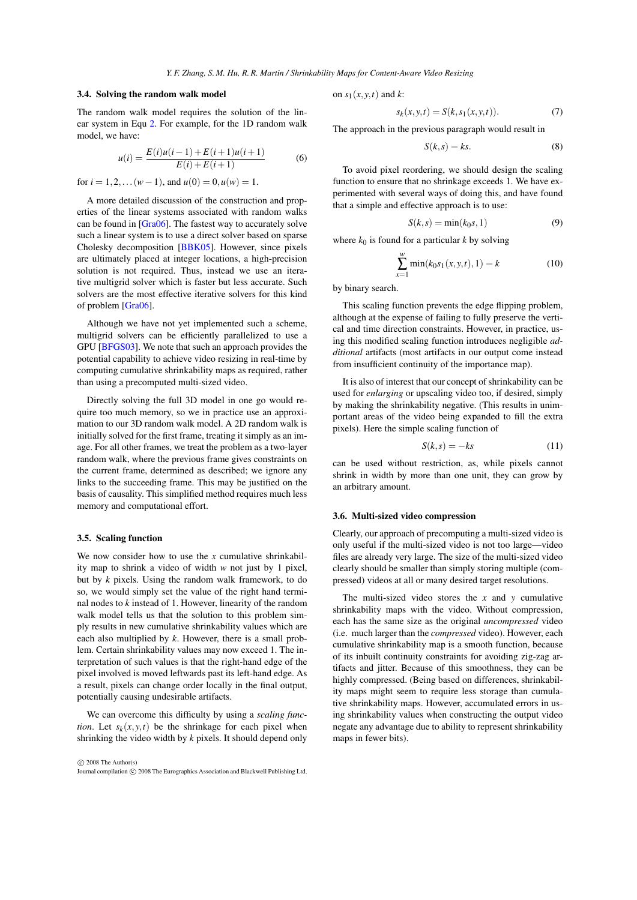## <span id="page-4-0"></span>3.4. Solving the random walk model

The random walk model requires the solution of the linear system in Equ [2.](#page-3-1) For example, for the 1D random walk model, we have:

$$
u(i) = \frac{E(i)u(i-1) + E(i+1)u(i+1)}{E(i) + E(i+1)}
$$
(6)

for  $i = 1, 2, \ldots (w-1)$ , and  $u(0) = 0, u(w) = 1$ .

A more detailed discussion of the construction and properties of the linear systems associated with random walks can be found in [\[Gra06\]](#page-7-5). The fastest way to accurately solve such a linear system is to use a direct solver based on sparse Cholesky decomposition [\[BBK05\]](#page-7-8). However, since pixels are ultimately placed at integer locations, a high-precision solution is not required. Thus, instead we use an iterative multigrid solver which is faster but less accurate. Such solvers are the most effective iterative solvers for this kind of problem [\[Gra06\]](#page-7-5).

Although we have not yet implemented such a scheme, multigrid solvers can be efficiently parallelized to use a GPU [\[BFGS03\]](#page-7-9). We note that such an approach provides the potential capability to achieve video resizing in real-time by computing cumulative shrinkability maps as required, rather than using a precomputed multi-sized video.

Directly solving the full 3D model in one go would require too much memory, so we in practice use an approximation to our 3D random walk model. A 2D random walk is initially solved for the first frame, treating it simply as an image. For all other frames, we treat the problem as a two-layer random walk, where the previous frame gives constraints on the current frame, determined as described; we ignore any links to the succeeding frame. This may be justified on the basis of causality. This simplified method requires much less memory and computational effort.

#### 3.5. Scaling function

We now consider how to use the *x* cumulative shrinkability map to shrink a video of width *w* not just by 1 pixel, but by *k* pixels. Using the random walk framework, to do so, we would simply set the value of the right hand terminal nodes to *k* instead of 1. However, linearity of the random walk model tells us that the solution to this problem simply results in new cumulative shrinkability values which are each also multiplied by *k*. However, there is a small problem. Certain shrinkability values may now exceed 1. The interpretation of such values is that the right-hand edge of the pixel involved is moved leftwards past its left-hand edge. As a result, pixels can change order locally in the final output, potentially causing undesirable artifacts.

We can overcome this difficulty by using a *scaling function*. Let  $s_k(x, y, t)$  be the shrinkage for each pixel when shrinking the video width by *k* pixels. It should depend only

on 
$$
s_1(x, y, t)
$$
 and k:

$$
s_k(x, y, t) = S(k, s_1(x, y, t)).
$$
\n(7)

The approach in the previous paragraph would result in

$$
S(k,s) = ks.
$$
 (8)

To avoid pixel reordering, we should design the scaling function to ensure that no shrinkage exceeds 1. We have experimented with several ways of doing this, and have found that a simple and effective approach is to use:

$$
S(k,s) = \min(k_0 s, 1) \tag{9}
$$

where  $k_0$  is found for a particular  $k$  by solving

$$
\sum_{x=1}^{w} \min(k_0 s_1(x, y, t), 1) = k \tag{10}
$$

by binary search.

This scaling function prevents the edge flipping problem, although at the expense of failing to fully preserve the vertical and time direction constraints. However, in practice, using this modified scaling function introduces negligible *additional* artifacts (most artifacts in our output come instead from insufficient continuity of the importance map).

It is also of interest that our concept of shrinkability can be used for *enlarging* or upscaling video too, if desired, simply by making the shrinkability negative. (This results in unimportant areas of the video being expanded to fill the extra pixels). Here the simple scaling function of

$$
S(k,s) = -ks \tag{11}
$$

can be used without restriction, as, while pixels cannot shrink in width by more than one unit, they can grow by an arbitrary amount.

## 3.6. Multi-sized video compression

Clearly, our approach of precomputing a multi-sized video is only useful if the multi-sized video is not too large—video files are already very large. The size of the multi-sized video clearly should be smaller than simply storing multiple (compressed) videos at all or many desired target resolutions.

The multi-sized video stores the  $x$  and  $y$  cumulative shrinkability maps with the video. Without compression, each has the same size as the original *uncompressed* video (i.e. much larger than the *compressed* video). However, each cumulative shrinkability map is a smooth function, because of its inbuilt continuity constraints for avoiding zig-zag artifacts and jitter. Because of this smoothness, they can be highly compressed. (Being based on differences, shrinkability maps might seem to require less storage than cumulative shrinkability maps. However, accumulated errors in using shrinkability values when constructing the output video negate any advantage due to ability to represent shrinkability maps in fewer bits).

 $\odot$  2008 The Author(s) Journal compilation  $\odot$  2008 The Eurographics Association and Blackwell Publishing Ltd.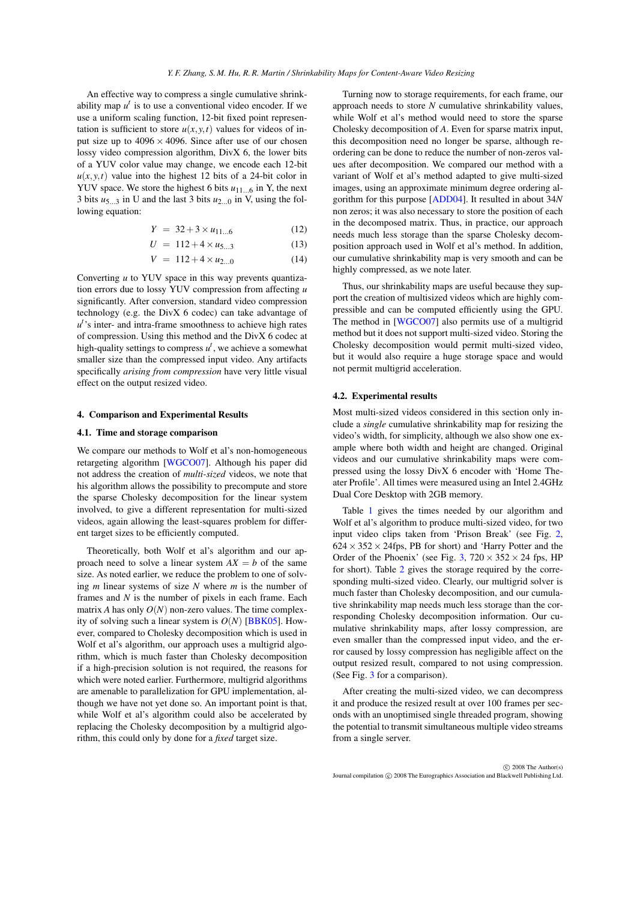An effective way to compress a single cumulative shrinkability map  $u^t$  is to use a conventional video encoder. If we use a uniform scaling function, 12-bit fixed point representation is sufficient to store  $u(x, y, t)$  values for videos of input size up to  $4096 \times 4096$ . Since after use of our chosen lossy video compression algorithm, DivX 6, the lower bits of a YUV color value may change, we encode each 12-bit  $u(x, y, t)$  value into the highest 12 bits of a 24-bit color in YUV space. We store the highest 6 bits  $u_{11...6}$  in Y, the next 3 bits *u*5...<sup>3</sup> in U and the last 3 bits *u*2...<sup>0</sup> in V, using the following equation:

$$
Y = 32 + 3 \times u_{11...6} \tag{12}
$$

$$
U = 112 + 4 \times u_{5...3} \tag{13}
$$

$$
V = 112 + 4 \times u_{2...0} \tag{14}
$$

Converting *u* to YUV space in this way prevents quantization errors due to lossy YUV compression from affecting *u* significantly. After conversion, standard video compression technology (e.g. the DivX 6 codec) can take advantage of  $u<sup>t</sup>$ 's inter- and intra-frame smoothness to achieve high rates of compression. Using this method and the DivX 6 codec at high-quality settings to compress  $u^t$ , we achieve a somewhat smaller size than the compressed input video. Any artifacts specifically *arising from compression* have very little visual effect on the output resized video.

# 4. Comparison and Experimental Results

## 4.1. Time and storage comparison

We compare our methods to Wolf et al's non-homogeneous retargeting algorithm [\[WGCO07\]](#page-7-0). Although his paper did not address the creation of *multi-sized* videos, we note that his algorithm allows the possibility to precompute and store the sparse Cholesky decomposition for the linear system involved, to give a different representation for multi-sized videos, again allowing the least-squares problem for different target sizes to be efficiently computed.

Theoretically, both Wolf et al's algorithm and our approach need to solve a linear system  $AX = b$  of the same size. As noted earlier, we reduce the problem to one of solving *m* linear systems of size *N* where *m* is the number of frames and *N* is the number of pixels in each frame. Each matrix *A* has only  $O(N)$  non-zero values. The time complexity of solving such a linear system is  $O(N)$  [\[BBK05\]](#page-7-8). However, compared to Cholesky decomposition which is used in Wolf et al's algorithm, our approach uses a multigrid algorithm, which is much faster than Cholesky decomposition if a high-precision solution is not required, the reasons for which were noted earlier. Furthermore, multigrid algorithms are amenable to parallelization for GPU implementation, although we have not yet done so. An important point is that, while Wolf et al's algorithm could also be accelerated by replacing the Cholesky decomposition by a multigrid algorithm, this could only by done for a *fixed* target size.

Turning now to storage requirements, for each frame, our approach needs to store *N* cumulative shrinkability values, while Wolf et al's method would need to store the sparse Cholesky decomposition of *A*. Even for sparse matrix input, this decomposition need no longer be sparse, although reordering can be done to reduce the number of non-zeros values after decomposition. We compared our method with a variant of Wolf et al's method adapted to give multi-sized images, using an approximate minimum degree ordering algorithm for this purpose [\[ADD04\]](#page-7-10). It resulted in about 34*N* non zeros; it was also necessary to store the position of each in the decomposed matrix. Thus, in practice, our approach needs much less storage than the sparse Cholesky decomposition approach used in Wolf et al's method. In addition, our cumulative shrinkability map is very smooth and can be highly compressed, as we note later.

Thus, our shrinkability maps are useful because they support the creation of multisized videos which are highly compressible and can be computed efficiently using the GPU. The method in [\[WGCO07\]](#page-7-0) also permits use of a multigrid method but it does not support multi-sized video. Storing the Cholesky decomposition would permit multi-sized video, but it would also require a huge storage space and would not permit multigrid acceleration.

# 4.2. Experimental results

Most multi-sized videos considered in this section only include a *single* cumulative shrinkability map for resizing the video's width, for simplicity, although we also show one example where both width and height are changed. Original videos and our cumulative shrinkability maps were compressed using the lossy DivX 6 encoder with 'Home Theater Profile'. All times were measured using an Intel 2.4GHz Dual Core Desktop with 2GB memory.

Table [1](#page-6-0) gives the times needed by our algorithm and Wolf et al's algorithm to produce multi-sized video, for two input video clips taken from 'Prison Break' (see Fig. [2,](#page-6-1)  $624 \times 352 \times 24$  for Short) and 'Harry Potter and the Order of the Phoenix' (see Fig. [3,](#page-6-2)  $720 \times 352 \times 24$  fps, HP for short). Table [2](#page-6-3) gives the storage required by the corresponding multi-sized video. Clearly, our multigrid solver is much faster than Cholesky decomposition, and our cumulative shrinkability map needs much less storage than the corresponding Cholesky decomposition information. Our cumulative shrinkability maps, after lossy compression, are even smaller than the compressed input video, and the error caused by lossy compression has negligible affect on the output resized result, compared to not using compression. (See Fig. [3](#page-6-2) for a comparison).

After creating the multi-sized video, we can decompress it and produce the resized result at over 100 frames per seconds with an unoptimised single threaded program, showing the potential to transmit simultaneous multiple video streams from a single server.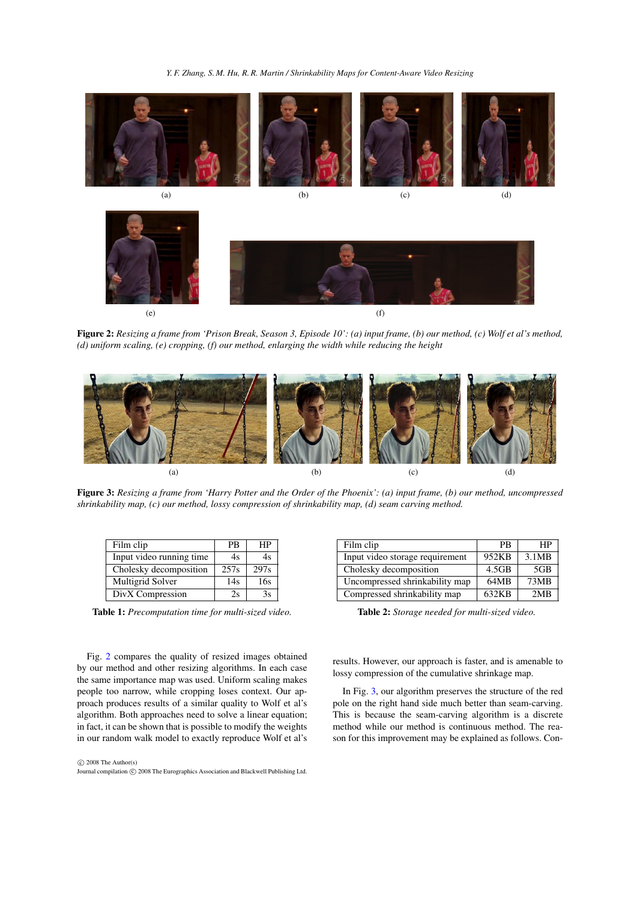*Y. F. Zhang, S. M. Hu, R. R. Martin / Shrinkability Maps for Content-Aware Video Resizing*



Figure 2: *Resizing a frame from 'Prison Break, Season 3, Episode 10': (a) input frame, (b) our method, (c) Wolf et al's method, (d) uniform scaling, (e) cropping, (f) our method, enlarging the width while reducing the height*

<span id="page-6-1"></span>

<span id="page-6-2"></span>Figure 3: *Resizing a frame from 'Harry Potter and the Order of the Phoenix': (a) input frame, (b) our method, uncompressed shrinkability map, (c) our method, lossy compression of shrinkability map, (d) seam carving method.*

| Film clip                | <b>PB</b> | НP               |
|--------------------------|-----------|------------------|
| Input video running time | 4s        | 4s               |
| Cholesky decomposition   | 257s      | 297 <sub>s</sub> |
| Multigrid Solver         | 14s       | 16s              |
| DivX Compression         | 2s        | 3s               |

<span id="page-6-0"></span>Table 1: *Precomputation time for multi-sized video.*

Fig. [2](#page-6-1) compares the quality of resized images obtained by our method and other resizing algorithms. In each case the same importance map was used. U people too narrow, while cropping lo proach produces results of a similar quality to Wolf et al's algorithm. Both approaches need to solve a linear equation; in fact, it can be shown that is possible to modify the weights in our random walk model to exactly reproduce Wolf et al's

| опшшь. Ш саси сам       | lossy compression of the cumulative shrinkage map.          |
|-------------------------|-------------------------------------------------------------|
| Iniform scaling makes   |                                                             |
| oses context. Our ap-   | In Fig. 3, our algorithm preserves the structure of the red |
| mality to Wolf et al's. | pole on the right hand side much better than seam-carving   |

on the right hand side much better than seam-carving. This is because the seam-carving algorithm is a discrete method while our method is continuous method. The reason for this improvement may be explained as follows. Con-

<span id="page-6-3"></span>results. However, our approach is faster, and is amenable to

Film clip PB HP Input video storage requirement 952KB 3.1MB Cholesky decomposition 4.5GB 5GB Uncompressed shrinkability map 64MB 73MB Compressed shrinkability map 632KB 2MB Table 2: *Storage needed for multi-sized video.*